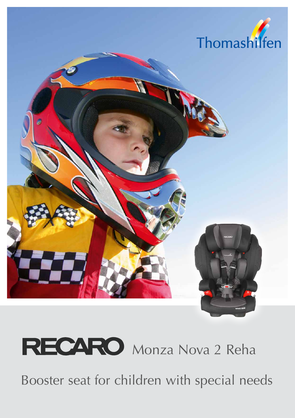

## **RECARO** Monza Nova 2 Reha

Booster seat for children with special needs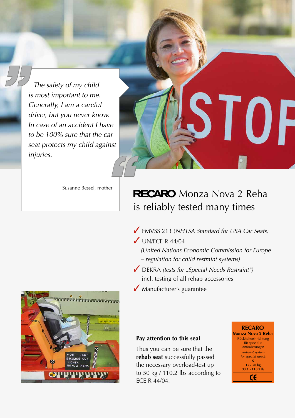*The safety of my child is most important to me. Generally, I am a careful driver, but you never know. In case of an accident I have to be 100% sure that the car seat protects my child against injuries. " "*

Susanne Bessel, mother

#### **RECARO** Monza Nova 2 Reha is reliably tested many times

- FMVSS 213 (*NHTSA Standard for USA Car Seats)*
- $\bigvee$  UN/ECE R 44/04
	- *(United Nations Economic Commission for Europe – regulation for child restraint systems)*
- DEKRA *(tests for "Special Needs Restraint")* incl. testing of all rehab accessories
- Manufacturer's guarantee



#### **Pay attention to this seal**

Thus you can be sure that the **rehab seat** successfully passed the necessary overload-test up to 50 kg / 110.2 lbs according to ECE R 44/04.



I OF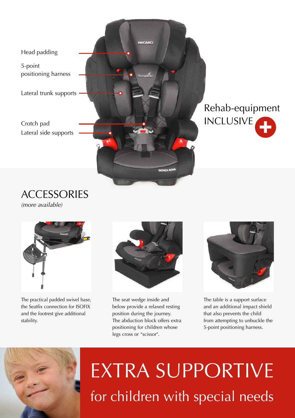

### + Rehab-equipment INCLUSIVE

**ACCESSORIES** *(more available)*



The practical padded swivel base, the Seatfix connection for ISOFIX and the footrest give additional stability.



The seat wedge inside and below provide a relaxed resting position during the journey. The abduction block offers extra positioning for children whose legs cross or "scissor".



The table is a support surface and an additional impact shield that also prevents the child from attempting to unbuckle the 5-point positioning harness.



# EXTRA SUPPORTIVE for children with special needs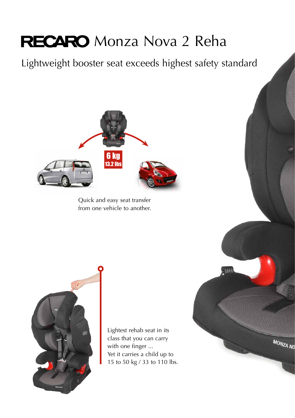### **RECARO** Monza Nova 2 Reha

Lightweight booster seat exceeds highest safety standard



Quick and easy seat transfer from one vehicle to another.



Lightest rehab seat in its class that you can carry with one finger ... Yet it carries a child up to 15 to 50 kg / 33 to 110 lbs.

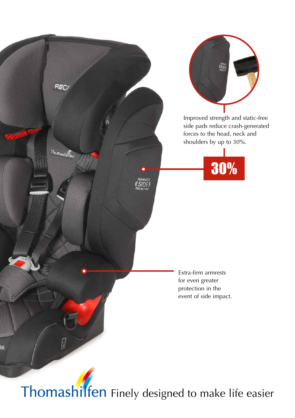

Thomashilfen Finely designed to make life easier